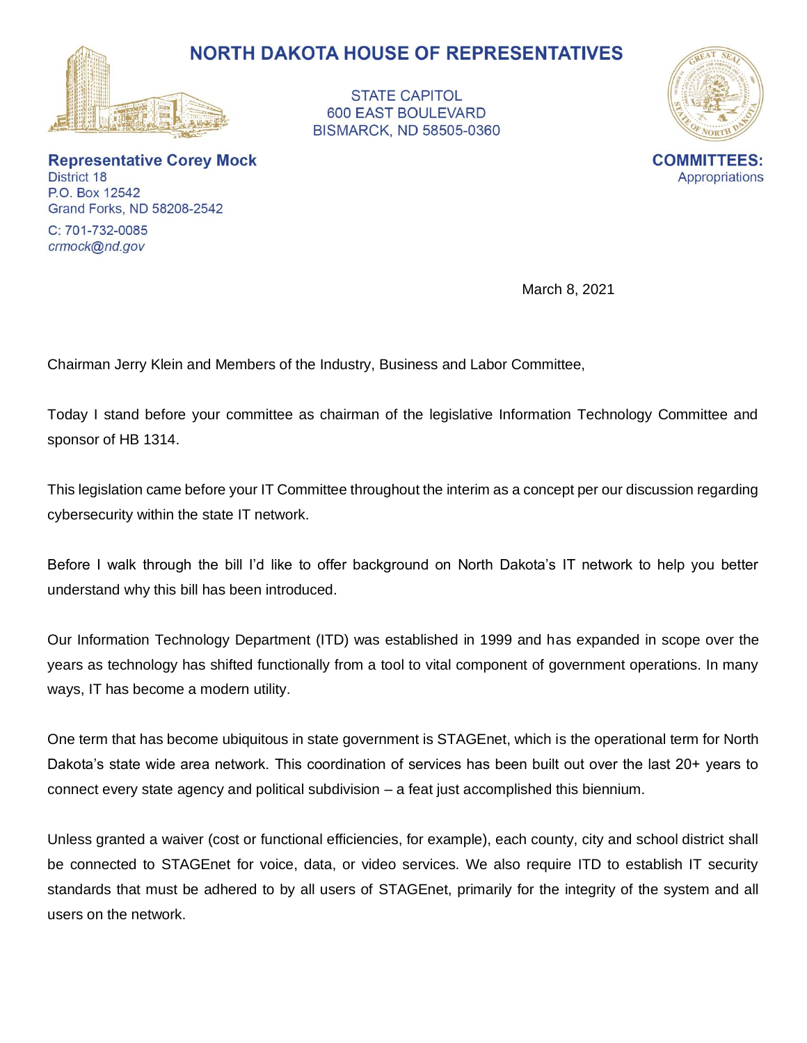

**STATE CAPITOL 600 EAST BOULEVARD BISMARCK, ND 58505-0360** 



**Representative Corey Mock** District 18 P.O. Box 12542 Grand Forks, ND 58208-2542

C: 701-732-0085 crmock@nd.gov

March 8, 2021

Chairman Jerry Klein and Members of the Industry, Business and Labor Committee,

Today I stand before your committee as chairman of the legislative Information Technology Committee and sponsor of HB 1314.

This legislation came before your IT Committee throughout the interim as a concept per our discussion regarding cybersecurity within the state IT network.

Before I walk through the bill I'd like to offer background on North Dakota's IT network to help you better understand why this bill has been introduced.

Our Information Technology Department (ITD) was established in 1999 and has expanded in scope over the years as technology has shifted functionally from a tool to vital component of government operations. In many ways, IT has become a modern utility.

One term that has become ubiquitous in state government is STAGEnet, which is the operational term for North Dakota's state wide area network. This coordination of services has been built out over the last 20+ years to connect every state agency and political subdivision – a feat just accomplished this biennium.

Unless granted a waiver (cost or functional efficiencies, for example), each county, city and school district shall be connected to STAGEnet for voice, data, or video services. We also require ITD to establish IT security standards that must be adhered to by all users of STAGEnet, primarily for the integrity of the system and all users on the network.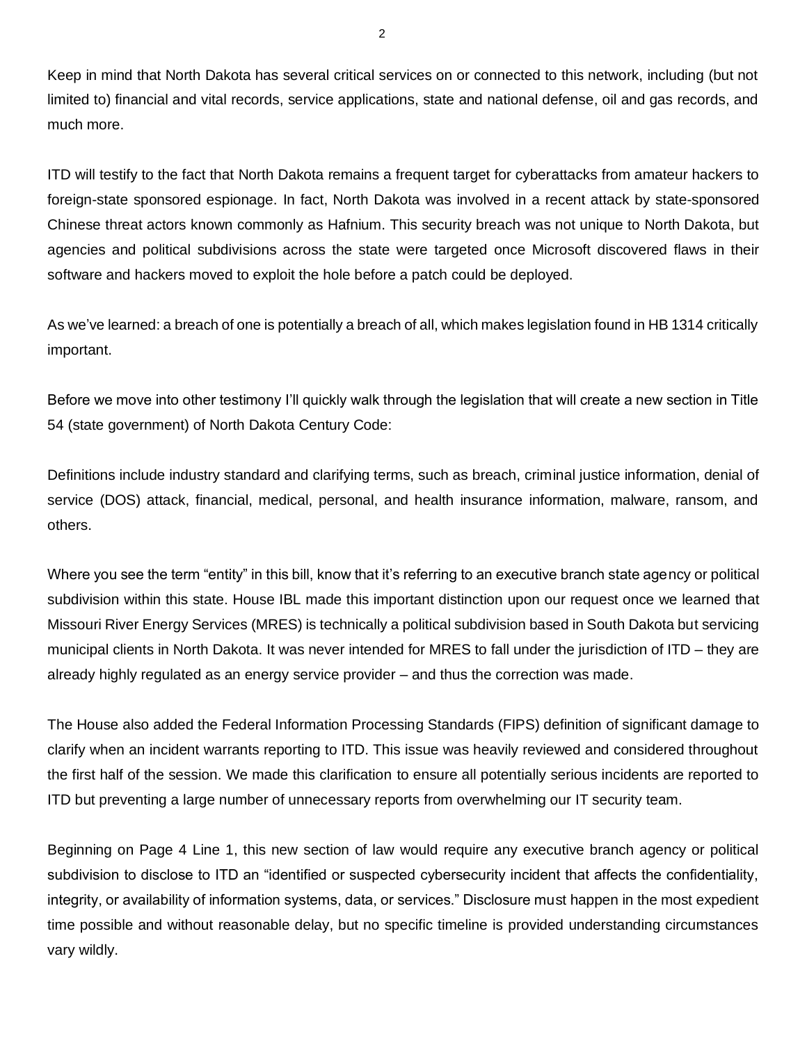Keep in mind that North Dakota has several critical services on or connected to this network, including (but not limited to) financial and vital records, service applications, state and national defense, oil and gas records, and much more.

ITD will testify to the fact that North Dakota remains a frequent target for cyberattacks from amateur hackers to foreign-state sponsored espionage. In fact, North Dakota was involved in a recent attack by state-sponsored Chinese threat actors known commonly as Hafnium. This security breach was not unique to North Dakota, but agencies and political subdivisions across the state were targeted once Microsoft discovered flaws in their software and hackers moved to exploit the hole before a patch could be deployed.

As we've learned: a breach of one is potentially a breach of all, which makes legislation found in HB 1314 critically important.

Before we move into other testimony I'll quickly walk through the legislation that will create a new section in Title 54 (state government) of North Dakota Century Code:

Definitions include industry standard and clarifying terms, such as breach, criminal justice information, denial of service (DOS) attack, financial, medical, personal, and health insurance information, malware, ransom, and others.

Where you see the term "entity" in this bill, know that it's referring to an executive branch state agency or political subdivision within this state. House IBL made this important distinction upon our request once we learned that Missouri River Energy Services (MRES) is technically a political subdivision based in South Dakota but servicing municipal clients in North Dakota. It was never intended for MRES to fall under the jurisdiction of ITD – they are already highly regulated as an energy service provider – and thus the correction was made.

The House also added the Federal Information Processing Standards (FIPS) definition of significant damage to clarify when an incident warrants reporting to ITD. This issue was heavily reviewed and considered throughout the first half of the session. We made this clarification to ensure all potentially serious incidents are reported to ITD but preventing a large number of unnecessary reports from overwhelming our IT security team.

Beginning on Page 4 Line 1, this new section of law would require any executive branch agency or political subdivision to disclose to ITD an "identified or suspected cybersecurity incident that affects the confidentiality, integrity, or availability of information systems, data, or services." Disclosure must happen in the most expedient time possible and without reasonable delay, but no specific timeline is provided understanding circumstances vary wildly.